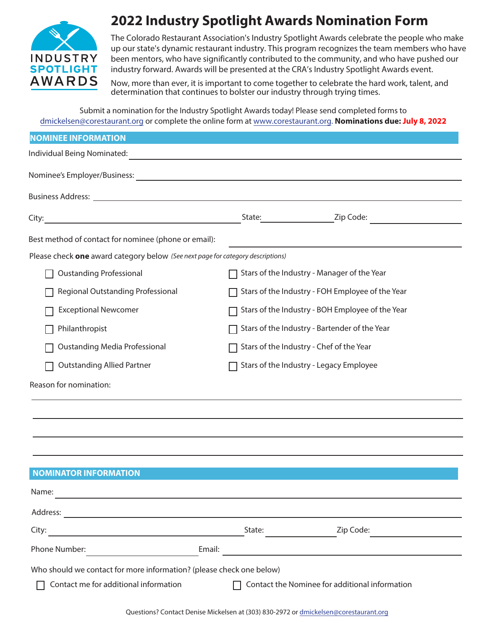

# **2022 Industry Spotlight Awards Nomination Form**

The Colorado Restaurant Association's Industry Spotlight Awards celebrate the people who make up our state's dynamic restaurant industry. This program recognizes the team members who have been mentors, who have significantly contributed to the community, and who have pushed our industry forward. Awards will be presented at the CRA's Industry Spotlight Awards event.

Now, more than ever, it is important to come together to celebrate the hard work, talent, and determination that continues to bolster our industry through trying times.

Submit a nomination for the Industry Spotlight Awards today! Please send completed forms to dmickelsen@corestaurant.org or complete the online form at www.corestaurant.org. **Nominations due: July 8, 2022**

| <b>NOMINEE INFORMATION</b>                                                                                                                           |                                                  |        |                                                                            |
|------------------------------------------------------------------------------------------------------------------------------------------------------|--------------------------------------------------|--------|----------------------------------------------------------------------------|
| Individual Being Nominated:<br><u> 1989 - Johann Stoff, deutscher Stoff, der Stoff, der Stoff, der Stoff, der Stoff, der Stoff, der Stoff, der S</u> |                                                  |        |                                                                            |
|                                                                                                                                                      |                                                  |        |                                                                            |
|                                                                                                                                                      |                                                  |        |                                                                            |
|                                                                                                                                                      |                                                  |        |                                                                            |
| Best method of contact for nominee (phone or email):                                                                                                 |                                                  |        | the control of the control of the control of the control of the control of |
| Please check one award category below (See next page for category descriptions)                                                                      |                                                  |        |                                                                            |
| <b>Oustanding Professional</b>                                                                                                                       | Stars of the Industry - Manager of the Year      |        |                                                                            |
| Regional Outstanding Professional                                                                                                                    | Stars of the Industry - FOH Employee of the Year |        |                                                                            |
| <b>Exceptional Newcomer</b>                                                                                                                          | Stars of the Industry - BOH Employee of the Year |        |                                                                            |
| Philanthropist                                                                                                                                       | Stars of the Industry - Bartender of the Year    |        |                                                                            |
| <b>Oustanding Media Professional</b>                                                                                                                 | Stars of the Industry - Chef of the Year         |        |                                                                            |
| <b>Outstanding Allied Partner</b>                                                                                                                    | Stars of the Industry - Legacy Employee          |        |                                                                            |
| Reason for nomination:                                                                                                                               |                                                  |        |                                                                            |
|                                                                                                                                                      |                                                  |        |                                                                            |
|                                                                                                                                                      |                                                  |        |                                                                            |
|                                                                                                                                                      |                                                  |        |                                                                            |
|                                                                                                                                                      |                                                  |        |                                                                            |
| <b>NOMINATOR INFORMATION</b>                                                                                                                         |                                                  |        |                                                                            |
| Name:                                                                                                                                                |                                                  |        |                                                                            |
|                                                                                                                                                      |                                                  |        |                                                                            |
| City:                                                                                                                                                |                                                  | State: | Zip Code:                                                                  |
| Email:<br>Phone Number:                                                                                                                              |                                                  |        |                                                                            |
| Who should we contact for more information? (please check one below)                                                                                 |                                                  |        |                                                                            |
| Contact me for additional information                                                                                                                | Contact the Nominee for additional information   |        |                                                                            |